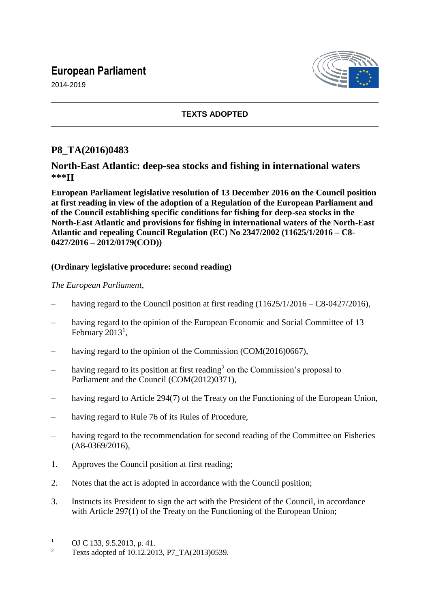# **European Parliament**

2014-2019



### **TEXTS ADOPTED**

## **P8\_TA(2016)0483**

#### **North-East Atlantic: deep-sea stocks and fishing in international waters \*\*\*II**

**European Parliament legislative resolution of 13 December 2016 on the Council position at first reading in view of the adoption of a Regulation of the European Parliament and of the Council establishing specific conditions for fishing for deep-sea stocks in the North-East Atlantic and provisions for fishing in international waters of the North-East Atlantic and repealing Council Regulation (EC) No 2347/2002 (11625/1/2016 – C8- 0427/2016 – 2012/0179(COD))**

#### **(Ordinary legislative procedure: second reading)**

#### *The European Parliament*,

- having regard to the Council position at first reading  $(11625/1/2016 C8 0427/2016)$ ,
- having regard to the opinion of the European Economic and Social Committee of 13 February  $2013<sup>1</sup>$ ,
- having regard to the opinion of the Commission (COM(2016)0667),
- $-$  having regard to its position at first reading<sup>2</sup> on the Commission's proposal to Parliament and the Council (COM(2012)0371),
- having regard to Article 294(7) of the Treaty on the Functioning of the European Union,
- having regard to Rule 76 of its Rules of Procedure,
- having regard to the recommendation for second reading of the Committee on Fisheries (A8-0369/2016),
- 1. Approves the Council position at first reading;
- 2. Notes that the act is adopted in accordance with the Council position;
- 3. Instructs its President to sign the act with the President of the Council, in accordance with Article 297(1) of the Treaty on the Functioning of the European Union;

 $\overline{a}$ 

<sup>&</sup>lt;sup>1</sup> OJ C 133, 9.5.2013, p. 41.<br><sup>2</sup> Toxis adopted of 10.12.201

<sup>2</sup> Texts adopted of 10.12.2013, P7\_TA(2013)0539.